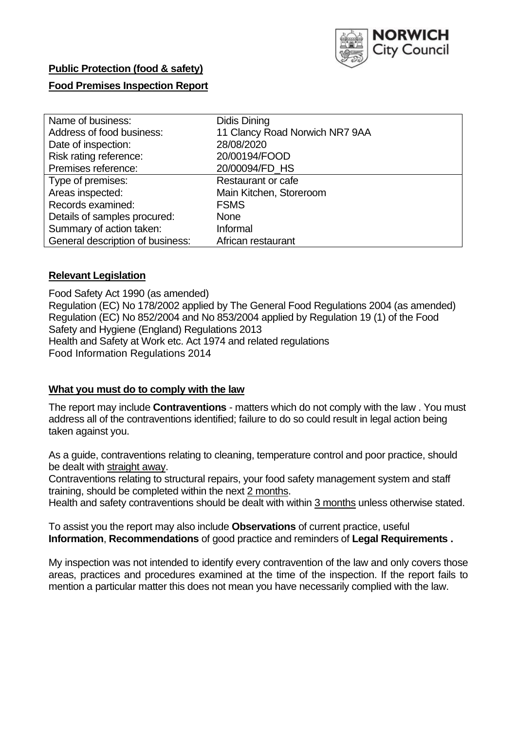

# **Public Protection (food & safety)**

# **Food Premises Inspection Report**

| Name of business:                | Didis Dining                   |  |  |  |  |
|----------------------------------|--------------------------------|--|--|--|--|
| Address of food business:        | 11 Clancy Road Norwich NR7 9AA |  |  |  |  |
| Date of inspection:              | 28/08/2020                     |  |  |  |  |
| Risk rating reference:           | 20/00194/FOOD                  |  |  |  |  |
| Premises reference:              | 20/00094/FD HS                 |  |  |  |  |
| Type of premises:                | Restaurant or cafe             |  |  |  |  |
| Areas inspected:                 | Main Kitchen, Storeroom        |  |  |  |  |
| Records examined:                | <b>FSMS</b>                    |  |  |  |  |
| Details of samples procured:     | <b>None</b>                    |  |  |  |  |
| Summary of action taken:         | Informal                       |  |  |  |  |
| General description of business: | African restaurant             |  |  |  |  |

## **Relevant Legislation**

 Food Safety Act 1990 (as amended) Regulation (EC) No 178/2002 applied by The General Food Regulations 2004 (as amended) Regulation (EC) No 852/2004 and No 853/2004 applied by Regulation 19 (1) of the Food Safety and Hygiene (England) Regulations 2013 Health and Safety at Work etc. Act 1974 and related regulations Food Information Regulations 2014

## **What you must do to comply with the law**

 The report may include **Contraventions** - matters which do not comply with the law . You must address all of the contraventions identified; failure to do so could result in legal action being taken against you.

 As a guide, contraventions relating to cleaning, temperature control and poor practice, should be dealt with straight away.

 Contraventions relating to structural repairs, your food safety management system and staff training, should be completed within the next 2 months.

Health and safety contraventions should be dealt with within 3 months unless otherwise stated.

 To assist you the report may also include **Observations** of current practice, useful **Information**, **Recommendations** of good practice and reminders of **Legal Requirements .** 

 My inspection was not intended to identify every contravention of the law and only covers those areas, practices and procedures examined at the time of the inspection. If the report fails to mention a particular matter this does not mean you have necessarily complied with the law.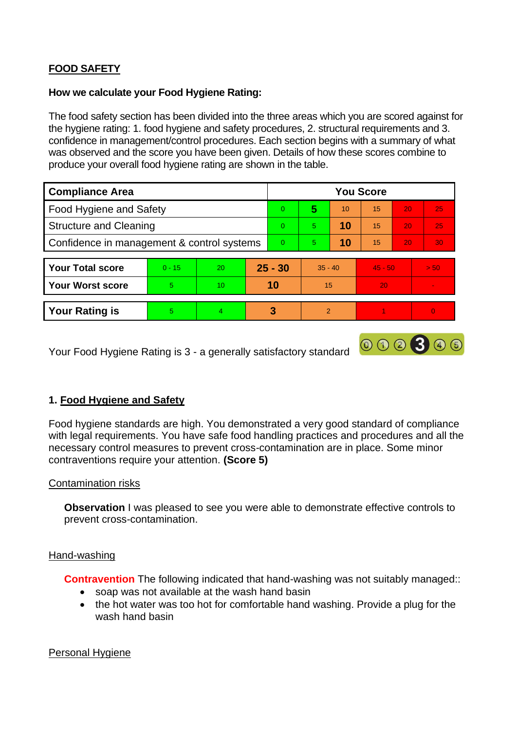# **FOOD SAFETY**

# **How we calculate your Food Hygiene Rating:**

 The food safety section has been divided into the three areas which you are scored against for the hygiene rating: 1. food hygiene and safety procedures, 2. structural requirements and 3. confidence in management/control procedures. Each section begins with a summary of what was observed and the score you have been given. Details of how these scores combine to produce your overall food hygiene rating are shown in the table.

| <b>Compliance Area</b>                     |          |    |           | <b>You Score</b> |                |    |           |    |      |  |  |
|--------------------------------------------|----------|----|-----------|------------------|----------------|----|-----------|----|------|--|--|
| <b>Food Hygiene and Safety</b>             |          |    | $\Omega$  | 5                | 10             | 15 | 20        | 25 |      |  |  |
| <b>Structure and Cleaning</b>              |          |    | $\Omega$  | 5                | 10             | 15 | 20        | 25 |      |  |  |
| Confidence in management & control systems |          |    | $\Omega$  | 5                | 10             | 15 | 20        | 30 |      |  |  |
|                                            |          |    |           |                  |                |    |           |    |      |  |  |
| <b>Your Total score</b>                    | $0 - 15$ | 20 | $25 - 30$ |                  | $35 - 40$      |    | $45 - 50$ |    | > 50 |  |  |
| <b>Your Worst score</b>                    | 5        | 10 | 10        |                  | 15             |    | 20        |    | v.   |  |  |
|                                            |          |    |           |                  |                |    |           |    |      |  |  |
| <b>Your Rating is</b>                      | 5        | 4  |           | 3                | $\overline{2}$ |    |           |    |      |  |  |

Your Food Hygiene Rating is 3 - a generally satisfactory standard

# **1. Food Hygiene and Safety**

 with legal requirements. You have safe food handling practices and procedures and all the Food hygiene standards are high. You demonstrated a very good standard of compliance necessary control measures to prevent cross-contamination are in place. Some minor contraventions require your attention. **(Score 5)** 

000300

# Contamination risks

**Observation** I was pleased to see you were able to demonstrate effective controls to prevent cross-contamination.

# Hand-washing

**Contravention** The following indicated that hand-washing was not suitably managed:

- soap was not available at the wash hand basin
- • the hot water was too hot for comfortable hand washing. Provide a plug for the wash hand basin

# Personal Hygiene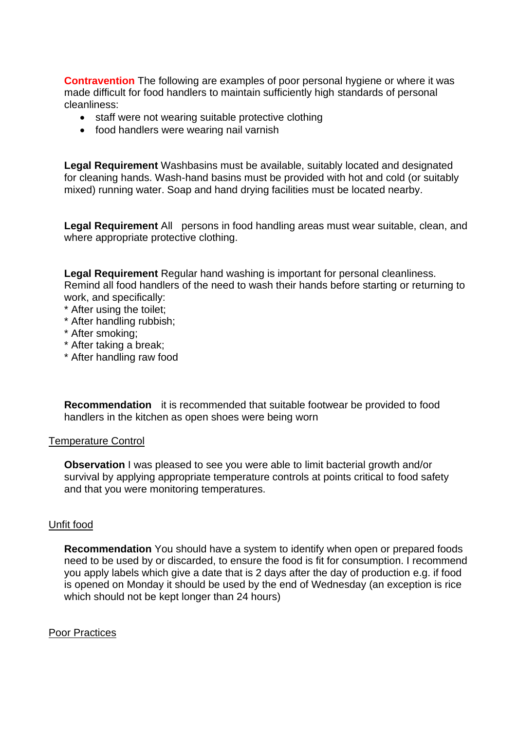made difficult for food handlers to maintain sufficiently high standards of personal **Contravention** The following are examples of poor personal hygiene or where it was cleanliness:

- staff were not wearing suitable protective clothing
- food handlers were wearing nail varnish

 **Legal Requirement** Washbasins must be available, suitably located and designated for cleaning hands. Wash-hand basins must be provided with hot and cold (or suitably mixed) running water. Soap and hand drying facilities must be located nearby.

**Legal Requirement** All persons in food handling areas must wear suitable, clean, and where appropriate protective clothing.

**Legal Requirement** Regular hand washing is important for personal cleanliness. Remind all food handlers of the need to wash their hands before starting or returning to work, and specifically:

- \* After using the toilet;
- \* After handling rubbish;
- \* After smoking;
- \* After taking a break;
- \* After handling raw food

**Recommendation** it is recommended that suitable footwear be provided to food handlers in the kitchen as open shoes were being worn

### Temperature Control

**Observation** I was pleased to see you were able to limit bacterial growth and/or survival by applying appropriate temperature controls at points critical to food safety and that you were monitoring temperatures.

### Unfit food

**Recommendation** You should have a system to identify when open or prepared foods need to be used by or discarded, to ensure the food is fit for consumption. I recommend you apply labels which give a date that is 2 days after the day of production e.g. if food is opened on Monday it should be used by the end of Wednesday (an exception is rice which should not be kept longer than 24 hours)

### **Poor Practices**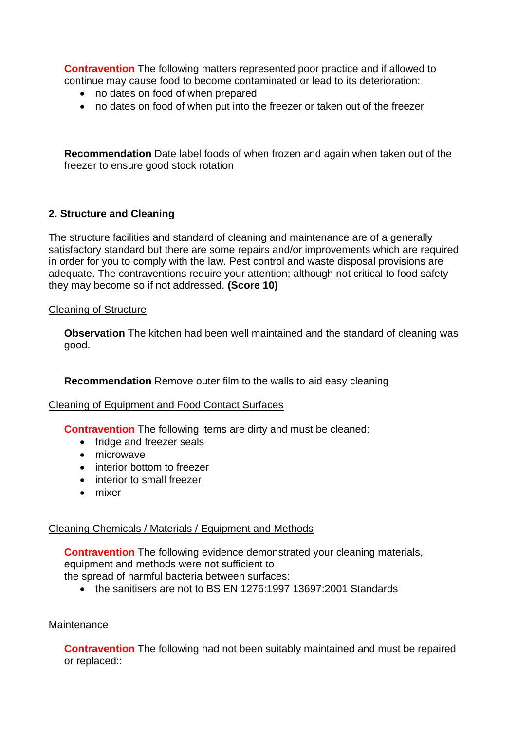**Contravention** The following matters represented poor practice and if allowed to continue may cause food to become contaminated or lead to its deterioration:

- no dates on food of when prepared
- no dates on food of when put into the freezer or taken out of the freezer

**Recommendation** Date label foods of when frozen and again when taken out of the freezer to ensure good stock rotation

# **2. Structure and Cleaning**

The structure facilities and standard of cleaning and maintenance are of a generally satisfactory standard but there are some repairs and/or improvements which are required in order for you to comply with the law. Pest control and waste disposal provisions are adequate. The contraventions require your attention; although not critical to food safety they may become so if not addressed. **(Score 10)** 

## Cleaning of Structure

 **Observation** The kitchen had been well maintained and the standard of cleaning was good.

**Recommendation** Remove outer film to the walls to aid easy cleaning

# Cleaning of Equipment and Food Contact Surfaces

**Contravention** The following items are dirty and must be cleaned:

- fridge and freezer seals
- microwave
- interior bottom to freezer
- interior to small freezer
- mixer

# Cleaning Chemicals / Materials / Equipment and Methods

**Contravention** The following evidence demonstrated your cleaning materials, equipment and methods were not sufficient to

the spread of harmful bacteria between surfaces:

• the sanitisers are not to BS EN 1276:1997 13697:2001 Standards

### **Maintenance**

**Contravention** The following had not been suitably maintained and must be repaired or replaced::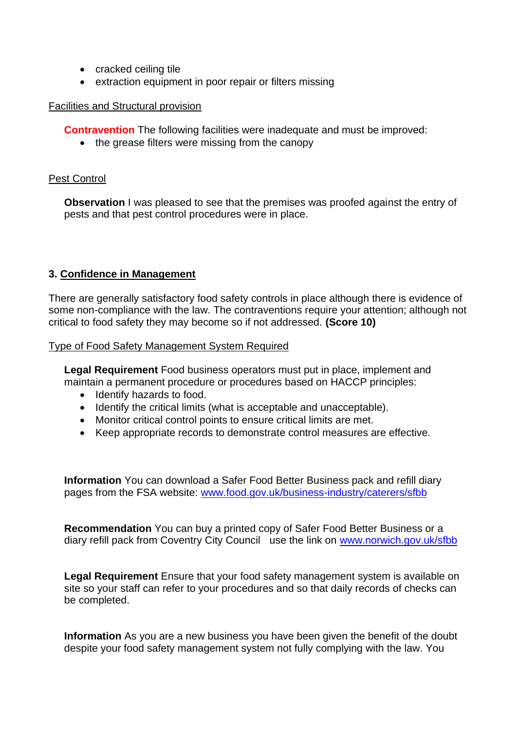- cracked ceiling tile
- extraction equipment in poor repair or filters missing

# Facilities and Structural provision

**Contravention** The following facilities were inadequate and must be improved:

• the grease filters were missing from the canopy

# Pest Control

**Observation** I was pleased to see that the premises was proofed against the entry of pests and that pest control procedures were in place.

# **3. Confidence in Management**

 There are generally satisfactory food safety controls in place although there is evidence of some non-compliance with the law. The contraventions require your attention; although not critical to food safety they may become so if not addressed. **(Score 10)** 

# Type of Food Safety Management System Required

 maintain a permanent procedure or procedures based on HACCP principles: **Legal Requirement** Food business operators must put in place, implement and

- Identify hazards to food.
- Identify the critical limits (what is acceptable and unacceptable).
- Monitor critical control points to ensure critical limits are met.
- Keep appropriate records to demonstrate control measures are effective.

**Information** You can download a Safer Food Better Business pack and refill diary pages from the FSA website: [www.food.gov.uk/business-industry/caterers/sfbb](http://www.food.gov.uk/business-industry/caterers/sfbb) 

diary refill pack from Coventry City Council use the link on www.norwich.gov.uk/sfbb **Recommendation** You can buy a printed copy of Safer Food Better Business or a

**Legal Requirement** Ensure that your food safety management system is available on site so your staff can refer to your procedures and so that daily records of checks can be completed.

 **Information** As you are a new business you have been given the benefit of the doubt despite your food safety management system not fully complying with the law. You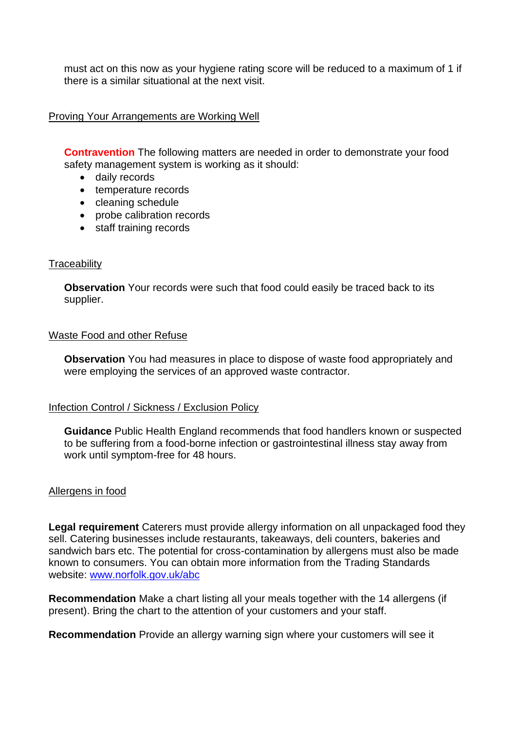there is a similar situational at the next visit. must act on this now as your hygiene rating score will be reduced to a maximum of 1 if

## Proving Your Arrangements are Working Well

**Contravention** The following matters are needed in order to demonstrate your food safety management system is working as it should:

- daily records
- temperature records
- cleaning schedule
- probe calibration records
- staff training records

### **Traceability**

**Observation** Your records were such that food could easily be traced back to its supplier.

### Waste Food and other Refuse

 **Observation** You had measures in place to dispose of waste food appropriately and were employing the services of an approved waste contractor.

### Infection Control / Sickness / Exclusion Policy

**Guidance** Public Health England recommends that food handlers known or suspected to be suffering from a food-borne infection or gastrointestinal illness stay away from work until symptom-free for 48 hours.

### Allergens in food

 **Legal requirement** Caterers must provide allergy information on all unpackaged food they sandwich bars etc. The potential for cross-contamination by allergens must also be made sell. Catering businesses include restaurants, takeaways, deli counters, bakeries and known to consumers. You can obtain more information from the Trading Standards website: [www.norfolk.gov.uk/abc](http://www.norfolk.gov.uk/abc) 

 **Recommendation** Make a chart listing all your meals together with the 14 allergens (if present). Bring the chart to the attention of your customers and your staff.

**Recommendation** Provide an allergy warning sign where your customers will see it